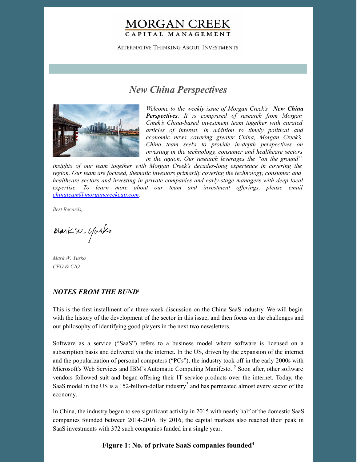## **MORGAN CREEK** CAPITAL MANAGEMENT

**ALTERNATIVE THINKING ABOUT INVESTMENTS** 

# *New China Perspectives*



*Welcome to the weekly issue of Morgan Creek's New China Perspectives. It is comprised of research from Morgan Creek's China-based investment team together with curated articles of interest. In addition to timely political and economic news covering greater China, Morgan Creek's China team seeks to provide in-depth perspectives on investing in the technology, consumer and healthcare sectors in the region. Our research leverages the "on the ground"*

*insights of our team together with Morgan Creek's decades-long experience in covering the region. Our team are focused, thematic investors primarily covering the technology, consumer, and healthcare sectors and investing in private companies and early-stage managers with deep local expertise. To learn more about our team and investment of erings, please email [chinateam@morgancreekcap.com](mailto:chinateam@morgancreekcap.com).*

*Best Regards,*

Markw. Yusko

*Mark W. Yusko CEO & CIO*

#### *NOTES FROM THE BUND* 1

This is the first installment of a three-week discussion on the China SaaS industry. We will begin with the history of the development of the sector in this issue, and then focus on the challenges and our philosophy of identifying good players in the next two newsletters.

Software as a service ("SaaS") refers to a business model where software is licensed on a subscription basis and delivered via the internet. In the US, driven by the expansion of the internet and the popularization of personal computers ("PCs"), the industry took off in the early 2000s with Microsoft's Web Services and IBM's Automatic Computing Manifesto.<sup>2</sup> Soon after, other software vendors followed suit and began offering their IT service products over the internet. Today, the SaaS model in the US is a 152-billion-dollar industry<sup>3</sup> and has permeated almost every sector of the economy.

In China, the industry began to see significant activity in 2015 with nearly half of the domestic SaaS companies founded between 2014-2016. By 2016, the capital markets also reached their peak in SaaS investments with 372 such companies funded in a single year.

#### **Figure 1: No. of private SaaS companies founded 4**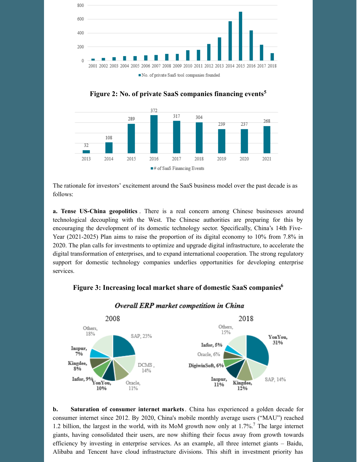

**Figure 2: No. of private SaaS companies financing events 5**



The rationale for investors' excitement around the SaaS business model over the past decade is as follows:

**a. Tense US-China geopolitics** . There is a real concern among Chinese businesses around technological decoupling with the West. The Chinese authorities are preparing for this by encouraging the development of its domestic technology sector. Specifically, China's 14th Five-Year (2021-2025) Plan aims to raise the proportion of its digital economy to 10% from 7.8% in 2020. The plan calls for investments to optimize and upgrade digital infrastructure, to accelerate the digital transformation of enterprises, and to expand international cooperation. The strong regulatory support for domestic technology companies underlies opportunities for developing enterprise services.

## **Figure 3: Increasing local market share of domestic SaaS companies 6**



#### Overall ERP market competition in China

**b. Saturation of consumer internet markets**. China has experienced a golden decade for consumer internet since 2012. By 2020, China's mobile monthly average users ("MAU") reached 1.2 billion, the largest in the world, with its MoM growth now only at 1.7%. <sup>7</sup> The large internet giants, having consolidated their users, are now shifting their focus away from growth towards efficiency by investing in enterprise services. As an example, all three internet giants – Baidu, Alibaba and Tencent have cloud infrastructure divisions. This shift in investment priority has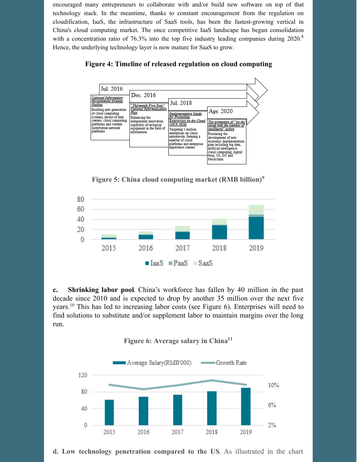encouraged many entrepreneurs to collaborate with and/or build new software on top of that technology stack. In the meantime, thanks to constant encouragement from the regulation on cloudification, IaaS, the infrastructure of SaaS tools, has been the fastest-growing vertical in China's cloud computing market. The once competitive IaaS landscape has begun consolidation with a concentration ratio of 76.3% into the top five industry leading companies during 2020.<sup>8</sup> Hence, the underlying technology layer is now mature for SaaS to grow.





**Figure 5: China cloud computing market (RMB billion) 9**



**c. Shrinking labor pool**. China's workforce has fallen by 40 million in the past decade since 2010 and is expected to drop by another 35 million over the next five years.<sup>10</sup> This has led to increasing labor costs (see Figure 6). Enterprises will need to find solutions to substitute and/or supplement labor to maintain margins over the long run.





**d. Low technology penetration compared to the US**. As illustrated in the chart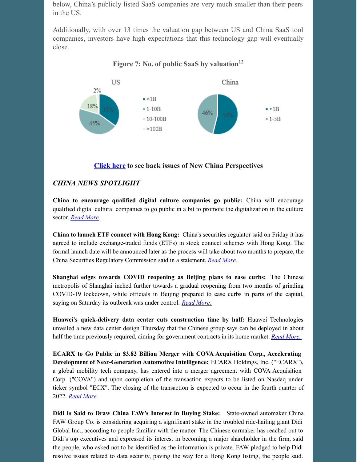below, China's publicly listed SaaS companies are very much smaller than their peers in the US.

Additionally, with over 13 times the valuation gap between US and China SaaS tool companies, investors have high expectations that this technology gap will eventually close.

**Figure 7: No. of public SaaS by valuation 12**



#### **[Click](https://www.morgancreekcap.com/market-commentary/#investment-process) here to see back issues of New China Perspectives**

## *CHINA NEWS SPOTLIGHT*

**China to encourage qualified digital culture companies go public:** China will encourage qualified digital cultural companies to go public in a bit to promote the digitalization in the culture sector. *Read [More](https://www.globaltimes.cn/page/202205/1266293.shtml).*

**China to launch ETF connect with Hong Kong:** China's securities regulator said on Friday it has agreed to include exchange-traded funds (ETFs) in stock connect schemes with Hong Kong. The formal launch date will be announced later as the process will take about two months to prepare, the China Securities Regulatory Commission said in a statement. *Read [More.](https://www.channelnewsasia.com/business/china-launch-etf-connect-hong-kong-2712136)*

**Shanghai edges towards COVID reopening as Beijing plans to ease curbs:** The Chinese metropolis of Shanghai inched further towards a gradual reopening from two months of grinding COVID-19 lockdown, while officials in Beijing prepared to ease curbs in parts of the capital, saying on Saturday its outbreak was under control. *Read [More.](https://www.reuters.com/business/healthcare-pharmaceuticals/shanghai-reports-131-new-asymptomatic-covid-cases-39-symptomatic-cases-may-27-2022-05-28/)*

**Huawei's quick-delivery data center cuts construction time by half:** Huawei Technologies unveiled a new data center design Thursday that the Chinese group says can be deployed in about half the time previously required, aiming for government contracts in its home market. *Read [More.](https://asia.nikkei.com/Business/China-tech/Huawei-s-quick-delivery-data-center-cuts-construction-time-by-half)*

**ECARX to Go Public in \$3.82 Billion Merger with COVA Acquisition Corp., Accelerating Development of Next-Generation Automotive Intelligence:** ECARX Holdings, Inc. ("ECARX"), a global mobility tech company, has entered into a merger agreement with COVA Acquisition Corp. ("COVA") and upon completion of the transaction expects to be listed on Nasdaq under ticker symbol "ECX". The closing of the transaction is expected to occur in the fourth quarter of 2022. *Read [More.](https://www.prnewswire.com/news-releases/ecarx-to-go-public-in-3-82-billion-merger-with-cova-acquisition-corp-accelerating-development-of-next-generation-automotive-intelligence-301555529.html)*

**Didi Is Said to Draw China FAW's Interest in Buying Stake:** State-owned automaker China FAW Group Co. is considering acquiring a significant stake in the troubled ride-hailing giant Didi Global Inc., according to people familiar with the matter. The Chinese carmaker has reached out to Didi's top executives and expressed its interest in becoming a major shareholder in the firm, said the people, who asked not to be identified as the information is private. FAW pledged to help Didi resolve issues related to data security, paving the way for a Hong Kong listing, the people said.